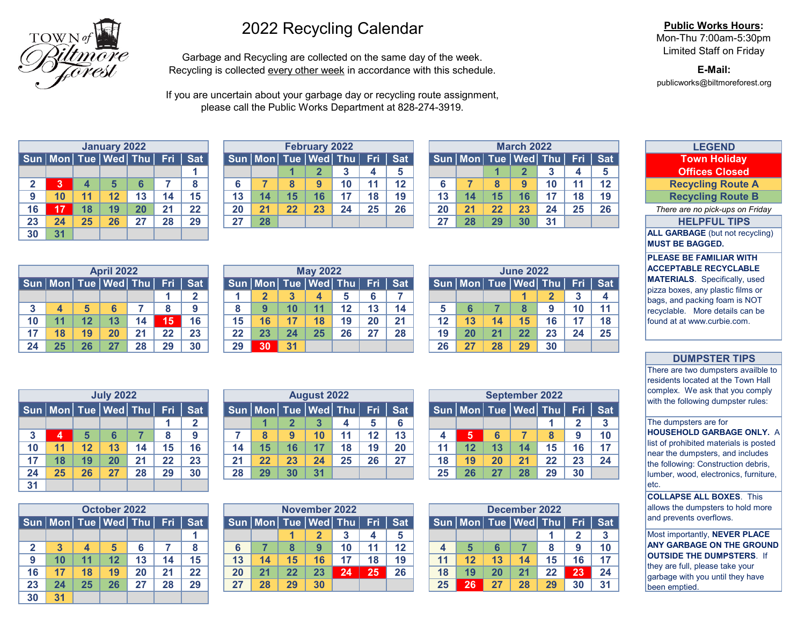

# 2022 Recycling Calendar

Garbage and Recycling are collected on the same day of the week. Recycling is collected every other week in accordance with this schedule.

If you are uncertain about your garbage day or recycling route assignment, please call the Public Works Department at 828-274-3919.

|              |                                   |                  | <b>January 2022</b> |    |    |            |
|--------------|-----------------------------------|------------------|---------------------|----|----|------------|
|              | Sun   Mon   Tue   Wed   Thu   Fri |                  |                     |    |    | <b>Sat</b> |
|              |                                   |                  |                     |    |    |            |
| $\mathbf{2}$ | 3                                 | $\boldsymbol{4}$ | 5                   | 6  |    | 8          |
| 9            | 10                                | 11               | 12                  | 13 | 14 | 15         |
| 16           | 17                                | 18               | 19                  | 20 | 21 | 22         |
| 23           | 24                                | 25               | 26                  | 27 | 28 | 29         |
| 30           | 31                                |                  |                     |    |    |            |

|    |                                   |    | <b>April 2022</b> |    |    |     |    |                         |    | <b>May 2022</b>             |    |    |         |    |    |    | <b>June 2022</b>            |                   |
|----|-----------------------------------|----|-------------------|----|----|-----|----|-------------------------|----|-----------------------------|----|----|---------|----|----|----|-----------------------------|-------------------|
|    | Sun   Mon   Tue   Wed   Thu   Fri |    |                   |    |    | Sat |    |                         |    | Sun   Mon   Tue   Wed   Thu |    |    | Fri Sat |    |    |    | Sun   Mon   Tue   Wed   The |                   |
|    |                                   |    |                   |    |    | ີ   |    | $\overline{\mathbf{2}}$ | 3  | 4                           | 5  | 6  |         |    |    |    |                             | $\mathbf{\Omega}$ |
| 3  |                                   |    |                   |    |    | 9   |    | 9                       | 10 | 11                          | 12 | 13 | 14      |    |    |    | 8                           | 9                 |
| 10 | 11                                | 12 | 13                | 14 | 15 | 16  | 15 | 16                      | 17 | 18                          | 19 | 20 | 21      | 12 | 13 | 14 | 15                          | 16                |
| 17 | 18                                | 19 | 20                | 21 | 22 | 23  | 22 | 23                      | 24 | 25                          | 26 | 27 | 28      | 19 | 20 | 21 | 22                          | 23                |
| 24 | 25                                | 26 |                   | 28 | 29 | 30  | 29 | 30                      | 31 |                             |    |    |         | 26 | 27 | 28 | 29                          | 30                |

|    |                     |    | <b>July 2022</b> |    |     |                 |
|----|---------------------|----|------------------|----|-----|-----------------|
|    | Sun Mon Tue Wed Thu |    |                  |    | Fri | <b>Sat</b>      |
|    |                     |    |                  |    |     | $\mathbf{2}$    |
| 3  | 4                   | 5  | 6                |    | 8   | 9               |
| 10 | 11                  | 12 | 13               | 14 | 15  | 16              |
| 17 | 18                  | 19 | 20               | 21 | 22  | $\overline{23}$ |
| 24 | 25                  | 26 | 27               | 28 | 29  | 30              |
| 31 |                     |    |                  |    |     |                 |

|              |                                   |    | October 2022 |    |    |            |
|--------------|-----------------------------------|----|--------------|----|----|------------|
|              | Sun   Mon   Tue   Wed   Thu   Fri |    |              |    |    | <b>Sat</b> |
|              |                                   |    |              |    |    |            |
| $\mathbf{2}$ | $\overline{3}$                    | 4  | 5            | 6  | 7  | 8          |
| 9            | 10                                | 11 | 12           | 13 | 14 | 15         |
| 16           | 17                                | 18 | 19           | 20 | 21 | 22         |
| 23           | 24                                | 25 | 26           | 27 | 28 | 29         |
| 30           | 31                                |    |              |    |    |            |

|    |                                                |    | January 2022 |    |    |    |    |                                                      |    | <b>February 2022</b> |                 |    |         |    |    |    | <b>March 2022</b>           |    |    |         | <b>LEGEND</b>                   |
|----|------------------------------------------------|----|--------------|----|----|----|----|------------------------------------------------------|----|----------------------|-----------------|----|---------|----|----|----|-----------------------------|----|----|---------|---------------------------------|
|    | Sun   Mon   Tue   Wed   Thu   Fri <u>  Sat</u> |    |              |    |    |    |    | Sun   Mon   Tue   Wed   Thu   Fri   Sat <sup> </sup> |    |                      |                 |    |         |    |    |    | Sun   Mon   Tue   Wed   Thu |    |    | Fri Sat | <b>Town Holiday</b>             |
|    |                                                |    |              |    |    |    |    |                                                      |    |                      |                 |    |         |    |    |    |                             |    |    |         | <b>Offices Closed</b>           |
|    |                                                |    |              |    |    |    |    |                                                      |    | a                    | 10 <sup>°</sup> |    | $12 \,$ |    |    |    |                             | 10 |    | 12      | <b>Recycling Route A</b>        |
|    | 10                                             | 11 | 12           |    |    | 15 |    | 14                                                   |    |                      |                 | 18 | 19      | 13 | 14 |    | 16                          |    | 18 | 19      | <b>Recycling Route B</b>        |
| 16 |                                                | 18 | 19           | 20 | 21 | 22 | 20 | 21                                                   | つつ | 23                   | 24              | 25 | 26      | 20 |    | 22 | 23                          | 24 | 25 | 26      | There are no pick-ups on Friday |
| 23 | 24                                             | 25 | 26           | 27 | 28 | 29 | 27 | 28                                                   |    |                      |                 |    |         | 27 | 28 | 29 | 30 <sup>1</sup>             | 31 |    |         | <b>HELPFUL TIPS</b>             |

|    |           |    | <b>April 2022</b>           |    |    |               |    |                                 |    | <b>May 2022</b> |    |    |           |    |    |    | <b>June 2022</b>                        |    |    |    |
|----|-----------|----|-----------------------------|----|----|---------------|----|---------------------------------|----|-----------------|----|----|-----------|----|----|----|-----------------------------------------|----|----|----|
|    |           |    | Sun   Mon   Tue   Wed   Thu |    |    | Fri   Sat $ $ |    | Sun   Mon   Tue   Wed   Thu   \ |    |                 |    |    | $Fri$ Sat |    |    |    | Sun   Mon   Tue   Wed   Thu   Fri   Sat |    |    |    |
|    |           |    |                             |    |    |               |    |                                 |    |                 |    |    |           |    |    |    |                                         |    |    |    |
|    |           |    |                             |    |    |               |    |                                 | 10 |                 |    | 13 | 14        |    |    |    |                                         |    | 10 | 11 |
|    |           |    |                             | 14 | 15 | 16            | 15 | 16                              | 17 | 18              | 19 | 20 | 21        | 12 | 13 | 14 | 15                                      |    |    | 18 |
|    | <b>18</b> | 19 | 20 <sub>1</sub>             | 21 | 22 | 23            | 22 | 23                              | 24 | 25              | 26 | 27 | 28        | 19 | 20 | 21 | 22                                      | 23 | 24 | 25 |
| 24 | 25        | 26 |                             | 28 | 29 | 30            | 29 | 30                              | 31 |                 |    |    |           | 26 | 27 | 28 | 29                                      | 30 |    |    |

|    |                                |                 | <b>July 2022</b> |    |            |             |    |                             |    | <b>August 2022</b> |    |     |            |    |    |                 | <b>September 2022</b>           |    |    |            |
|----|--------------------------------|-----------------|------------------|----|------------|-------------|----|-----------------------------|----|--------------------|----|-----|------------|----|----|-----------------|---------------------------------|----|----|------------|
|    | Sun   Mon   Tue   Wed   Thu  ' |                 |                  |    | <b>Fri</b> | $\vert$ Sat |    | Sun   Mon   Tue   Wed   Thu |    |                    |    | Fri | <b>Sat</b> |    |    |                 | Sun   Mon   Tue Wed   Thu   Fri |    |    | <b>Sat</b> |
|    |                                |                 |                  |    |            |             |    |                             |    |                    |    |     |            |    |    |                 |                                 |    |    |            |
|    | Ø                              |                 |                  |    |            |             |    |                             | 9  | 10                 |    | 12  | 13         |    |    |                 |                                 |    |    | 10         |
| 10 | 11                             | 12 <sup>°</sup> | 13               | 14 | 15         | 16          |    | 15                          | 16 |                    | 18 | 19  | 20         |    | 12 | 13              | 14.                             | 15 | 16 | 17         |
|    | 18                             | 19              | 20               | 21 | 22         | 23          | 21 | 22                          | 23 | 24                 | 25 | 26  | 27         | 18 | 19 | 20 <sup>°</sup> | 21                              | 22 | 23 | 24         |
| 24 | 25                             | 26              | 27               | 28 | 29         | 30          | 28 | 29                          | 30 | 31                 |    |     |            | 25 | 26 | 27              | 28                              | 29 | 30 |            |

|      |        |    | October 2022                |    |            |             |    |                             |    | November 2022   |    |     |            |    |           |    | December 2022   |    |    |            |
|------|--------|----|-----------------------------|----|------------|-------------|----|-----------------------------|----|-----------------|----|-----|------------|----|-----------|----|-----------------|----|----|------------|
|      |        |    | Sun   Mon   Tue   Wed   Thu |    | <b>Fri</b> | $\vert$ Sat |    | Sun   Mon   Tue   Wed   Thu |    |                 |    | Fri | <b>Sat</b> |    | Sun   Mon |    | Tue Wed Thu Fri |    |    | <b>Sat</b> |
|      |        |    |                             |    |            |             |    |                             |    |                 |    |     |            |    |           |    |                 |    |    |            |
|      | ◠      |    |                             |    |            |             |    |                             |    |                 | 10 | 11  | 12         |    |           |    |                 |    |    | 10         |
|      | 10     |    |                             | 13 | 14         | 15          | 13 | 14                          | 15 | 16 <sup>1</sup> |    | 18  | 19         |    | 12        | 13 | 14              | 15 | 16 | 17         |
| 16   | 17     | 18 | 19                          | 20 | 21         | 22          | 20 | 21                          | 22 | 23              | 24 | 25  | 26         | 18 | 19        | 20 | 21              | 22 | 23 | 24         |
| 23   | 24     | 25 | 26                          | 27 | 28         | 29          | 27 | 28                          | 29 | 30              |    |     |            | 25 | 26        | 27 | 28              | 29 | 30 | 31         |
| $ -$ | $\sim$ |    |                             |    |            |             |    |                             |    |                 |    |     |            |    |           |    |                 |    |    |            |

|    |    |    | <b>March 2022</b>           |    |                  |            |
|----|----|----|-----------------------------|----|------------------|------------|
|    |    |    | Sun   Mon   Tue   Wed   Thu |    | Fri              | <b>Sat</b> |
|    |    |    | $\mathbf{2}$                | 3  | $\boldsymbol{4}$ | 5          |
| 6  |    | 8  | 9                           | 10 | 11               | 12         |
| 13 | 14 | 15 | 16                          | 17 | 18               | 19         |
| 20 | 21 | 22 | 23                          | 24 | 25               | 26         |
| 27 | 28 | 29 | 30                          | 31 |                  |            |

|    |                                   |    | <b>June 2022</b> |                |    |            |
|----|-----------------------------------|----|------------------|----------------|----|------------|
|    | Sun   Mon   Tue   Wed   Thu   Fri |    |                  |                |    | <b>Sat</b> |
|    |                                   |    |                  | $\overline{2}$ | 3  | 4          |
| 5  | 6                                 |    | 8                | 9              | 10 | 11         |
| 12 | 13                                | 14 | 15               | 16             | 17 | 18         |
| 19 | 20                                | 21 | 22               | 23             | 24 | 25         |
| 26 | 27                                | 28 | 29               | 30             |    |            |

|    |                     |    | <b>September 2022</b> |    |              |            |
|----|---------------------|----|-----------------------|----|--------------|------------|
|    | Sun Mon Tue Wed Thu |    |                       |    | Fri          | <b>Sat</b> |
|    |                     |    |                       |    | $\mathbf{2}$ | 3          |
| 4  | 5                   | 6  |                       | 8  | 9            | 10         |
| 11 | 12                  | 13 | 14                    | 15 | 16           | 17         |
| 18 | 19                  | 20 | 21                    | 22 | 23           | 24         |
| 25 | 26                  | 27 | 28                    | 29 | 30           |            |

|                  |                             |    | December 2022 |    |              |            |
|------------------|-----------------------------|----|---------------|----|--------------|------------|
|                  | Sun   Mon   Tue   Wed   Thu |    |               |    | Fri          | <b>Sat</b> |
|                  |                             |    |               |    | $\mathbf{2}$ | 3          |
| $\boldsymbol{4}$ | 5                           | 6  |               | 8  | 9            | 10         |
| 11               | 12                          | 13 | 14            | 15 | 16           | 17         |
| 18               | 19                          | 20 | 21            | 22 | 23           | 24         |
| 25               | 26                          | 27 | 28            | 29 | 30           | 31         |

### **Public Works Hours:**

Mon-Thu 7:00am-5:30pm Limited Staff on Friday

**E-Mail:** publicworks@biltmoreforest.org

| <b>LEGEND</b>                          |
|----------------------------------------|
| <b>Town Holiday</b>                    |
| <b>Offices Closed</b>                  |
| <b>Recycling Route A</b>               |
| <b>Recycling Route B</b>               |
| There are no pick-ups on Friday        |
| <b>HELPFUL TIPS</b>                    |
| <b>ALL GARBAGE</b> (but not recycling) |
| <b>MUST BE BAGGED.</b>                 |
| <b>PLEASE BE FAMILIAR WITH</b>         |
| <b>ACCEPTABLE RECYCLABLE</b>           |
| <b>MATERIALS.</b> Specifically, used   |
| pizza boxes, any plastic films or      |
| bags, and packing foam is NOT          |
| recyclable. More details can be        |
| found at at www.curbie.com.            |
|                                        |
|                                        |

#### **DUMPSTER TIPS**

There are two dumpsters availble to residents located at the Town Hall complex. We ask that you comply with the following dumpster rules:

The dumpsters are for

**HOUSEHOLD GARBAGE ONLY.** A list of prohibited materials is posted near the dumpsters, and includes the following: Construction debris, lumber, wood, electronics, furniture, etc.

**COLLAPSE ALL BOXES**. This allows the dumpsters to hold more and prevents overflows.

Most importantly, **NEVER PLACE ANY GARBAGE ON THE GROUND OUTSIDE THE DUMPSTERS**. If they are full, please take your garbage with you until they have been emptied.